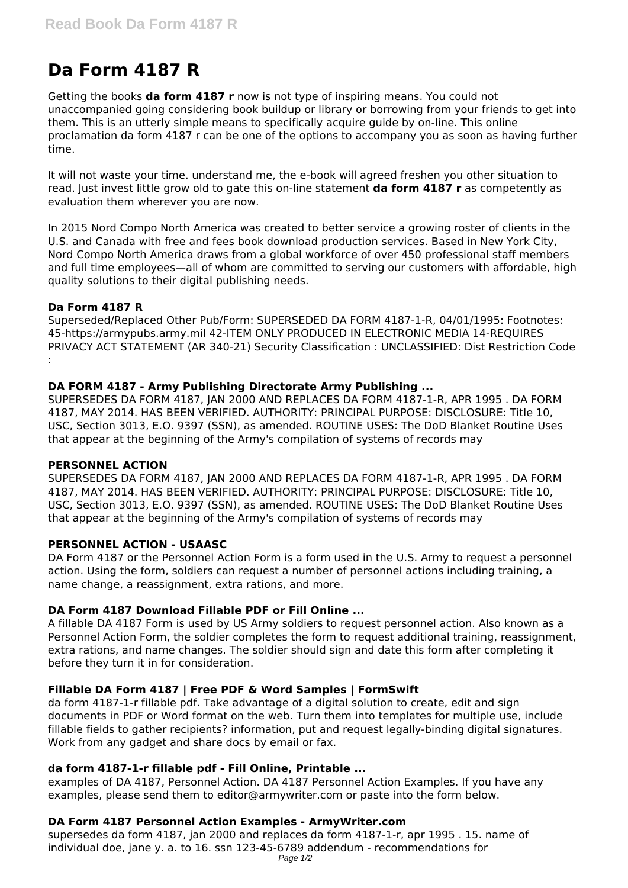# **Da Form 4187 R**

Getting the books **da form 4187 r** now is not type of inspiring means. You could not unaccompanied going considering book buildup or library or borrowing from your friends to get into them. This is an utterly simple means to specifically acquire guide by on-line. This online proclamation da form 4187 r can be one of the options to accompany you as soon as having further time.

It will not waste your time. understand me, the e-book will agreed freshen you other situation to read. Just invest little grow old to gate this on-line statement **da form 4187 r** as competently as evaluation them wherever you are now.

In 2015 Nord Compo North America was created to better service a growing roster of clients in the U.S. and Canada with free and fees book download production services. Based in New York City, Nord Compo North America draws from a global workforce of over 450 professional staff members and full time employees—all of whom are committed to serving our customers with affordable, high quality solutions to their digital publishing needs.

## **Da Form 4187 R**

Superseded/Replaced Other Pub/Form: SUPERSEDED DA FORM 4187-1-R, 04/01/1995: Footnotes: 45-https://armypubs.army.mil 42-ITEM ONLY PRODUCED IN ELECTRONIC MEDIA 14-REQUIRES PRIVACY ACT STATEMENT (AR 340-21) Security Classification : UNCLASSIFIED: Dist Restriction Code :

## **DA FORM 4187 - Army Publishing Directorate Army Publishing ...**

SUPERSEDES DA FORM 4187, JAN 2000 AND REPLACES DA FORM 4187-1-R, APR 1995 . DA FORM 4187, MAY 2014. HAS BEEN VERIFIED. AUTHORITY: PRINCIPAL PURPOSE: DISCLOSURE: Title 10, USC, Section 3013, E.O. 9397 (SSN), as amended. ROUTINE USES: The DoD Blanket Routine Uses that appear at the beginning of the Army's compilation of systems of records may

#### **PERSONNEL ACTION**

SUPERSEDES DA FORM 4187, JAN 2000 AND REPLACES DA FORM 4187-1-R, APR 1995 . DA FORM 4187, MAY 2014. HAS BEEN VERIFIED. AUTHORITY: PRINCIPAL PURPOSE: DISCLOSURE: Title 10, USC, Section 3013, E.O. 9397 (SSN), as amended. ROUTINE USES: The DoD Blanket Routine Uses that appear at the beginning of the Army's compilation of systems of records may

# **PERSONNEL ACTION - USAASC**

DA Form 4187 or the Personnel Action Form is a form used in the U.S. Army to request a personnel action. Using the form, soldiers can request a number of personnel actions including training, a name change, a reassignment, extra rations, and more.

# **DA Form 4187 Download Fillable PDF or Fill Online ...**

A fillable DA 4187 Form is used by US Army soldiers to request personnel action. Also known as a Personnel Action Form, the soldier completes the form to request additional training, reassignment, extra rations, and name changes. The soldier should sign and date this form after completing it before they turn it in for consideration.

# **Fillable DA Form 4187 | Free PDF & Word Samples | FormSwift**

da form 4187-1-r fillable pdf. Take advantage of a digital solution to create, edit and sign documents in PDF or Word format on the web. Turn them into templates for multiple use, include fillable fields to gather recipients? information, put and request legally-binding digital signatures. Work from any gadget and share docs by email or fax.

# **da form 4187-1-r fillable pdf - Fill Online, Printable ...**

examples of DA 4187, Personnel Action. DA 4187 Personnel Action Examples. If you have any examples, please send them to editor@armywriter.com or paste into the form below.

# **DA Form 4187 Personnel Action Examples - ArmyWriter.com**

supersedes da form 4187, jan 2000 and replaces da form 4187-1-r, apr 1995 . 15. name of individual doe, jane y. a. to 16. ssn 123-45-6789 addendum - recommendations for Page 1/2